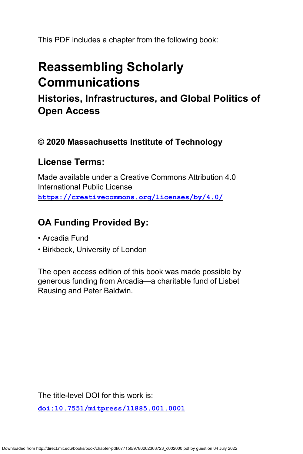This PDF includes a chapter from the following book:

# **Reassembling Scholarly Communications**

**Histories, Infrastructures, and Global Politics of Open Access**

## **© 2020 Massachusetts Institute of Technology**

## **License Terms:**

Made available under a Creative Commons Attribution 4.0 International Public License **<https://creativecommons.org/licenses/by/4.0/>**

# **OA Funding Provided By:**

- Arcadia Fund
- Birkbeck, University of London

The open access edition of this book was made possible by generous funding from Arcadia—a charitable fund of Lisbet Rausing and Peter Baldwin.

The title-level DOI for this work is:

**[doi:10.7551/mitpress/11885.001.0001](https://doi.org/10.7551/mitpress/11885.001.0001)**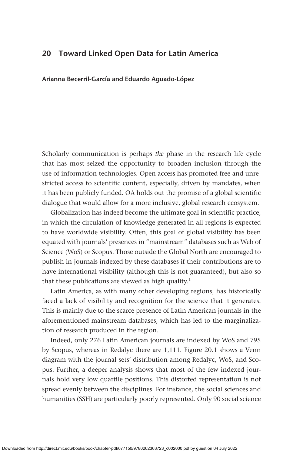### **20 Toward Linked Open Data for Latin America**

#### **Arianna Becerril-García and Eduardo Aguado-López**

Scholarly communication is perhaps *the* phase in the research life cycle that has most seized the opportunity to broaden inclusion through the use of information technologies. Open access has promoted free and unrestricted access to scientific content, especially, driven by mandates, when it has been publicly funded. OA holds out the promise of a global scientific dialogue that would allow for a more inclusive, global research ecosystem.

Globalization has indeed become the ultimate goal in scientific practice, in which the circulation of knowledge generated in all regions is expected to have worldwide visibility. Often, this goal of global visibility has been equated with journals' presences in "mainstream" databases such as Web of Science (WoS) or Scopus. Those outside the Global North are encouraged to publish in journals indexed by these databases if their contributions are to have international visibility (although this is not guaranteed), but also so that these publications are viewed as high quality.<sup>1</sup>

Latin America, as with many other developing regions, has historically faced a lack of visibility and recognition for the science that it generates. This is mainly due to the scarce presence of Latin American journals in the aforementioned mainstream databases, which has led to the marginalization of research produced in the region.

Indeed, only 276 Latin American journals are indexed by WoS and 795 by Scopus, whereas in Redalyc there are 1,111. Figure 20.1 shows a Venn diagram with the journal sets' distribution among Redalyc, WoS, and Scopus. Further, a deeper analysis shows that most of the few indexed journals hold very low quartile positions. This distorted representation is not spread evenly between the disciplines. For instance, the social sciences and humanities (SSH) are particularly poorly represented. Only 90 social science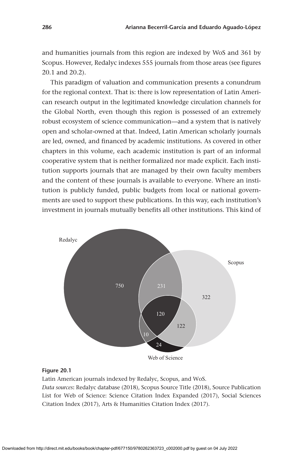and humanities journals from this region are indexed by WoS and 361 by Scopus. However, Redalyc indexes 555 journals from those areas (see figures 20.1 and 20.2).

This paradigm of valuation and communication presents a conundrum for the regional context. That is: there is low representation of Latin American research output in the legitimated knowledge circulation channels for the Global North, even though this region is possessed of an extremely robust ecosystem of science communication—and a system that is natively open and scholar-owned at that. Indeed, Latin American scholarly journals are led, owned, and financed by academic institutions. As covered in other chapters in this volume, each academic institution is part of an informal cooperative system that is neither formalized nor made explicit. Each institution supports journals that are managed by their own faculty members and the content of these journals is available to everyone. Where an institution is publicly funded, public budgets from local or national governments are used to support these publications. In this way, each institution's investment in journals mutually benefits all other institutions. This kind of



#### **Figure 20.1**

Latin American journals indexed by Redalyc, Scopus, and WoS.

*Data sources***:** Redalyc database (2018), Scopus Source Title (2018), Source Publication List for Web of Science: Science Citation Index Expanded (2017), Social Sciences Citation Index (2017), Arts & Humanities Citation Index (2017).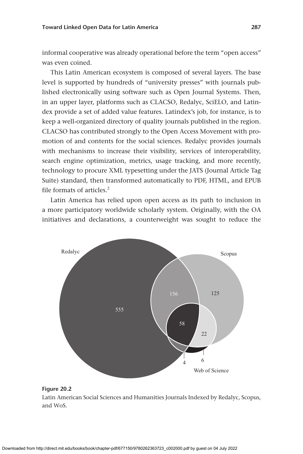informal cooperative was already operational before the term "open access" was even coined.

This Latin American ecosystem is composed of several layers. The base level is supported by hundreds of "university presses" with journals published electronically using software such as Open Journal Systems. Then, in an upper layer, platforms such as CLACSO, Redalyc, SciELO, and Latindex provide a set of added value features. Latindex's job, for instance, is to keep a well-organized directory of quality journals published in the region. CLACSO has contributed strongly to the Open Access Movement with promotion of and contents for the social sciences. Redalyc provides journals with mechanisms to increase their visibility, services of interoperability, search engine optimization, metrics, usage tracking, and more recently, technology to procure XML typesetting under the JATS (Journal Article Tag Suite) standard, then transformed automatically to PDF, HTML, and EPUB file formats of articles. $2$ 

Latin America has relied upon open access as its path to inclusion in a more participatory worldwide scholarly system. Originally, with the OA initiatives and declarations, a counterweight was sought to reduce the





Latin American Social Sciences and Humanities Journals Indexed by Redalyc, Scopus, and WoS.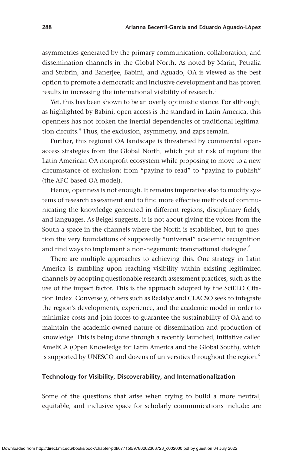asymmetries generated by the primary communication, collaboration, and dissemination channels in the Global North. As noted by Marin, Petralia and Stubrin, and Banerjee, Babini, and Aguado, OA is viewed as the best option to promote a democratic and inclusive development and has proven results in increasing the international visibility of research.<sup>3</sup>

Yet, this has been shown to be an overly optimistic stance. For although, as highlighted by Babini, open access is the standard in Latin America, this openness has not broken the inertial dependencies of traditional legitimation circuits.<sup>4</sup> Thus, the exclusion, asymmetry, and gaps remain.

Further, this regional OA landscape is threatened by commercial openaccess strategies from the Global North, which put at risk of rupture the Latin American OA nonprofit ecosystem while proposing to move to a new circumstance of exclusion: from "paying to read" to "paying to publish" (the APC-based OA model).

Hence, openness is not enough. It remains imperative also to modify systems of research assessment and to find more effective methods of communicating the knowledge generated in different regions, disciplinary fields, and languages. As Beigel suggests, it is not about giving the voices from the South a space in the channels where the North is established, but to question the very foundations of supposedly "universal" academic recognition and find ways to implement a non-hegemonic transnational dialogue.<sup>5</sup>

There are multiple approaches to achieving this. One strategy in Latin America is gambling upon reaching visibility within existing legitimized channels by adopting questionable research assessment practices, such as the use of the impact factor. This is the approach adopted by the SciELO Citation Index. Conversely, others such as Redalyc and CLACSO seek to integrate the region's developments, experience, and the academic model in order to minimize costs and join forces to guarantee the sustainability of OA and to maintain the academic-owned nature of dissemination and production of knowledge. This is being done through a recently launched, initiative called AmeliCA (Open Knowledge for Latin America and the Global South), which is supported by UNESCO and dozens of universities throughout the region. $<sup>6</sup>$ </sup>

#### **Technology for Visibility, Discoverability, and Internationalization**

Some of the questions that arise when trying to build a more neutral, equitable, and inclusive space for scholarly communications include: are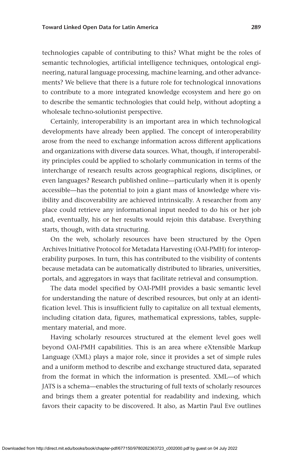technologies capable of contributing to this? What might be the roles of semantic technologies, artificial intelligence techniques, ontological engineering, natural language processing, machine learning, and other advancements? We believe that there is a future role for technological innovations to contribute to a more integrated knowledge ecosystem and here go on to describe the semantic technologies that could help, without adopting a wholesale techno-solutionist perspective.

Certainly, interoperability is an important area in which technological developments have already been applied. The concept of interoperability arose from the need to exchange information across different applications and organizations with diverse data sources. What, though, if interoperability principles could be applied to scholarly communication in terms of the interchange of research results across geographical regions, disciplines, or even languages? Research published online—particularly when it is openly accessible—has the potential to join a giant mass of knowledge where visibility and discoverability are achieved intrinsically. A researcher from any place could retrieve any informational input needed to do his or her job and, eventually, his or her results would rejoin this database. Everything starts, though, with data structuring.

On the web, scholarly resources have been structured by the Open Archives Initiative Protocol for Metadata Harvesting (OAI-PMH) for interoperability purposes. In turn, this has contributed to the visibility of contents because metadata can be automatically distributed to libraries, universities, portals, and aggregators in ways that facilitate retrieval and consumption.

The data model specified by OAI-PMH provides a basic semantic level for understanding the nature of described resources, but only at an identification level. This is insufficient fully to capitalize on all textual elements, including citation data, figures, mathematical expressions, tables, supplementary material, and more.

Having scholarly resources structured at the element level goes well beyond OAI-PMH capabilities. This is an area where eXtensible Markup Language (XML) plays a major role, since it provides a set of simple rules and a uniform method to describe and exchange structured data, separated from the format in which the information is presented. XML—of which JATS is a schema—enables the structuring of full texts of scholarly resources and brings them a greater potential for readability and indexing, which favors their capacity to be discovered. It also, as Martin Paul Eve outlines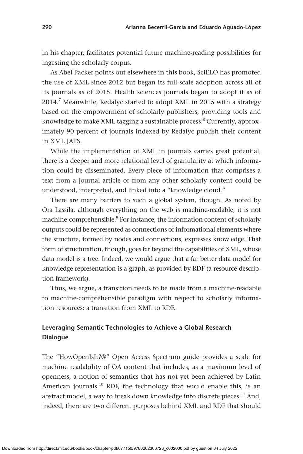in his chapter, facilitates potential future machine-reading possibilities for ingesting the scholarly corpus.

As Abel Packer points out elsewhere in this book, SciELO has promoted the use of XML since 2012 but began its full-scale adoption across all of its journals as of 2015. Health sciences journals began to adopt it as of 2014.<sup>7</sup> Meanwhile, Redalyc started to adopt XML in 2015 with a strategy based on the empowerment of scholarly publishers, providing tools and knowledge to make XML tagging a sustainable process.<sup>8</sup> Currently, approximately 90 percent of journals indexed by Redalyc publish their content in XML JATS.

While the implementation of XML in journals carries great potential, there is a deeper and more relational level of granularity at which information could be disseminated. Every piece of information that comprises a text from a journal article or from any other scholarly content could be understood, interpreted, and linked into a "knowledge cloud."

There are many barriers to such a global system, though. As noted by Ora Lassila, although everything on the web is machine-readable, it is not machine-comprehensible.<sup>9</sup> For instance, the information content of scholarly outputs could be represented as connections of informational elements where the structure, formed by nodes and connections, expresses knowledge. That form of structuration, though, goes far beyond the capabilities of XML, whose data model is a tree. Indeed, we would argue that a far better data model for knowledge representation is a graph, as provided by RDF (a resource description framework).

Thus, we argue, a transition needs to be made from a machine-readable to machine-comprehensible paradigm with respect to scholarly information resources: a transition from XML to RDF.

### **Leveraging Semantic Technologies to Achieve a Global Research Dialogue**

The "HowOpenIsIt?®" Open Access Spectrum guide provides a scale for machine readability of OA content that includes, as a maximum level of openness, a notion of semantics that has not yet been achieved by Latin American journals.<sup>10</sup> RDF, the technology that would enable this, is an abstract model, a way to break down knowledge into discrete pieces.<sup>11</sup> And, indeed, there are two different purposes behind XML and RDF that should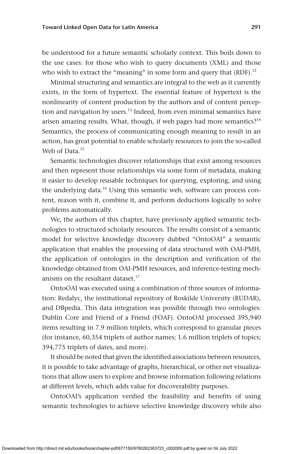be understood for a future semantic scholarly context. This boils down to the use cases: for those who wish to query documents (XML) and those who wish to extract the "meaning" in some form and query that  $(RDF)$ .<sup>12</sup>

Minimal structuring and semantics are integral to the web as it currently exists, in the form of hypertext. The essential feature of hypertext is the nonlinearity of content production by the authors and of content perception and navigation by users.<sup>13</sup> Indeed, from even minimal semantics have arisen amazing results. What, though, if web pages had more semantics?<sup>14</sup> Semantics, the process of communicating enough meaning to result in an action, has great potential to enable scholarly resources to join the so-called Web of Data<sup>15</sup>

Semantic technologies discover relationships that exist among resources and then represent those relationships via some form of metadata, making it easier to develop reusable techniques for querying, exploring, and using the underlying data.16 Using this semantic web, software can process content, reason with it, combine it, and perform deductions logically to solve problems automatically.

We, the authors of this chapter, have previously applied semantic technologies to structured scholarly resources. The results consist of a semantic model for selective knowledge discovery dubbed "OntoOAI" a semantic application that enables the processing of data structured with OAI-PMH, the application of ontologies in the description and verification of the knowledge obtained from OAI-PMH resources, and inference-testing mechanisms on the resultant dataset.<sup>17</sup>

OntoOAI was executed using a combination of three sources of information: Redalyc, the institutional repository of Roskilde University (RUDAR), and DBpedia. This data integration was possible through two ontologies: Dublin Core and Friend of a Friend (FOAF). OntoOAI processed 395,940 items resulting in 7.9 million triplets, which correspond to granular pieces (for instance, 60,354 triplets of author names; 1.6 million triplets of topics; 394,775 triplets of dates, and more).

It should be noted that given the identified associations between resources, it is possible to take advantage of graphs, hierarchical, or other net visualizations that allow users to explore and browse information following relations at different levels, which adds value for discoverability purposes.

OntoOAI's application verified the feasibility and benefits of using semantic technologies to achieve selective knowledge discovery while also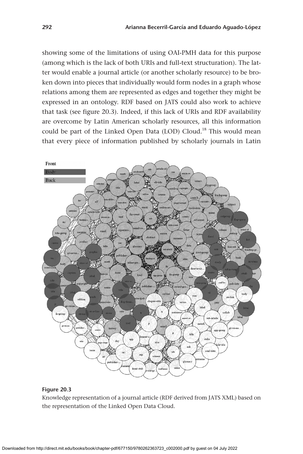showing some of the limitations of using OAI-PMH data for this purpose (among which is the lack of both URIs and full-text structuration). The latter would enable a journal article (or another scholarly resource) to be broken down into pieces that individually would form nodes in a graph whose relations among them are represented as edges and together they might be expressed in an ontology. RDF based on JATS could also work to achieve that task (see figure 20.3). Indeed, if this lack of URIs and RDF availability are overcome by Latin American scholarly resources, all this information could be part of the Linked Open Data (LOD) Cloud.<sup>18</sup> This would mean that every piece of information published by scholarly journals in Latin



#### **Figure 20.3**

Knowledge representation of a journal article (RDF derived from JATS XML) based on the representation of the Linked Open Data Cloud.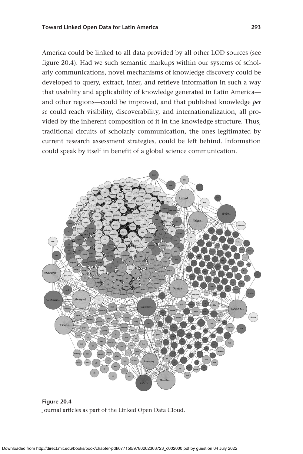America could be linked to all data provided by all other LOD sources (see figure 20.4). Had we such semantic markups within our systems of scholarly communications, novel mechanisms of knowledge discovery could be developed to query, extract, infer, and retrieve information in such a way that usability and applicability of knowledge generated in Latin America and other regions—could be improved, and that published knowledge *per se* could reach visibility, discoverability, and internationalization, all provided by the inherent composition of it in the knowledge structure. Thus, traditional circuits of scholarly communication, the ones legitimated by current research assessment strategies, could be left behind. Information could speak by itself in benefit of a global science communication.



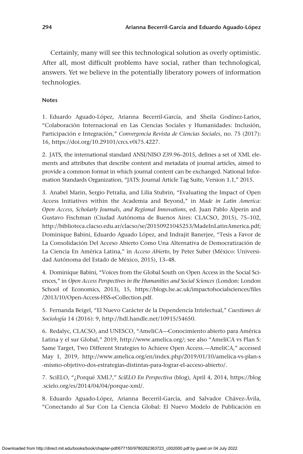Certainly, many will see this technological solution as overly optimistic. After all, most difficult problems have social, rather than technological, answers. Yet we believe in the potentially liberatory powers of information technologies.

#### **Notes**

1. Eduardo Aguado-López, Arianna Becerril-García, and Sheila Godínez-Larios, "Colaboración Internacional en Las Ciencias Sociales y Humanidades: Inclusión, Participación e Integración," *Convergencia Revista de Ciencias Sociales*, no. 75 (2017): 16, [https://doi.org/10.29101/crcs.v0i75.4227.](https://doi.org/10.29101/crcs.v0i75.4227)

2. JATS, the international standard ANSI/NISO Z39.96–2015, defines a set of XML elements and attributes that describe content and metadata of journal articles, aimed to provide a common format in which journal content can be exchanged. National Information Standards Organization, "JATS: Journal Article Tag Suite, Version 1.1," 2015.

3. Anabel Marin, Sergio Petralia, and Lilia Stubrin, "Evaluating the Impact of Open Access Initiatives within the Academia and Beyond," in *Made in Latin America: Open Access, Scholarly Journals, and Regional Innovations*, ed. Juan Pablo Alperin and Gustavo Fischman (Ciudad Autónoma de Buenos Aires: CLACSO, 2015), 75–102, [http://biblioteca.clacso.edu.ar/clacso/se/20150921045253/MadeInLatinAmerica.pdf;](http://biblioteca.clacso.edu.ar/clacso/se/20150921045253/MadeInLatinAmerica.pdf) Dominique Babini, Eduardo Aguado López, and Indrajit Banerjee, "Tesis a Favor de La Consolidación Del Acceso Abierto Como Una Alternativa de Democratización de La Ciencia En América Latina," in *Acceso Abierto*, by Peter Suber (México: Universidad Autónoma del Estado de México, 2015), 13–48.

4. Dominique Babini, "Voices from the Global South on Open Access in the Social Sciences," in *Open Access Perspectives in the Humanities and Social Sciences* (London: London School of Economics, 2013), 15, [https://blogs.lse.ac.uk/impactofsocialsciences/files](https://blogs.lse.ac.uk/impactofsocialsciences/files/2013/10/Open-Access-HSS-eCollection.pdf) [/2013/10/Open-Access-HSS-eCollection.pdf.](https://blogs.lse.ac.uk/impactofsocialsciences/files/2013/10/Open-Access-HSS-eCollection.pdf)

5. Fernanda Beigel, "El Nuevo Carácter de la Dependencia Intelectual," *Cuestiones de Sociología* 14 (2016): 9, [http://hdl.handle.net/10915/54650.](http://hdl.handle.net/10915/54650)

6. Redalyc, CLACSO, and UNESCO, "AmeliCA—Conocimiento abierto para América Latina y el sur Global," 2019, [http://www.amelica.org/;](http://www.amelica.org/) see also "AmeliCA vs Plan S: Same Target, Two Different Strategies to Achieve Open Access.—AmeliCA," accessed May 1, 2019, [http://www.amelica.org/en/index.php/2019/01/10/amelica-vs-plan-s](http://www.amelica.org/en/index.php/2019/01/10/amelica-vs-plan-s-mismo-objetivo-dos-estrategias-distintas-para-lograr-el-acceso-abierto/) [-mismo-objetivo-dos-estrategias-distintas-para-lograr-el-acceso-abierto/.](http://www.amelica.org/en/index.php/2019/01/10/amelica-vs-plan-s-mismo-objetivo-dos-estrategias-distintas-para-lograr-el-acceso-abierto/)

7. SciELO, "¿Porqué XML?," *SciELO En Perspectiva* (blog), April 4, 2014, [https://blog](https://blog.scielo.org/es/2014/04/04/porque-xml/) [.scielo.org/es/2014/04/04/porque-xml/](https://blog.scielo.org/es/2014/04/04/porque-xml/).

8. Eduardo Aguado-López, Arianna Becerril-García, and Salvador Chávez-Ávila, "Conectando al Sur Con La Ciencia Global: El Nuevo Modelo de Publicación en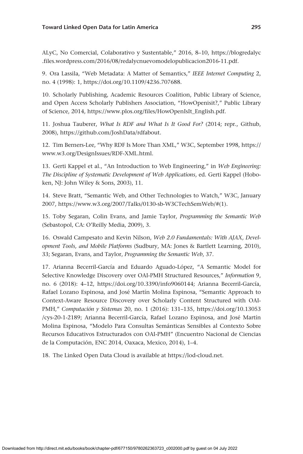ALyC, No Comercial, Colaborativo y Sustentable," 2016, 8–10, [https://blogredalyc](https://blogredalyc.files.wordpress.com/2016/08/redalycnuevomodelopublicacion2016-11.pdf) [.files.wordpress.com/2016/08/redalycnuevomodelopublicacion2016-11.pdf](https://blogredalyc.files.wordpress.com/2016/08/redalycnuevomodelopublicacion2016-11.pdf).

9. Ora Lassila, "Web Metadata: A Matter of Semantics," *IEEE Internet Computing* 2, no. 4 (1998): 1, [https://doi.org/10.1109/4236.707688.](https://doi.org/10.1109/4236.707688)

10. Scholarly Publishing, Academic Resources Coalition, Public Library of Science, and Open Access Scholarly Publishers Association, "HowOpenisit?," Public Library of Science, 2014, [https://www.plos.org/files/HowOpenIsIt\\_English.pdf](https://www.plos.org/files/HowOpenIsIt_English.pdf).

11. Joshua Tauberer, *What Is RDF and What Is It Good For?* (2014; repr., Github, 2008), [https://github.com/JoshData/rdfabout.](https://github.com/JoshData/rdfabout)

12. Tim Berners-Lee, "Why RDF Is More Than XML," W3C, September 1998, [https://](https://www.w3.org/DesignIssues/RDF-XML.html) [www.w3.org/DesignIssues/RDF-XML.html](https://www.w3.org/DesignIssues/RDF-XML.html).

13. Gerti Kappel et al., "An Introduction to Web Engineering," in *Web Engineering: The Discipline of Systematic Development of Web Applications*, ed. Gerti Kappel (Hoboken, NJ: John Wiley & Sons, 2003), 11.

14. Steve Bratt, "Semantic Web, and Other Technologies to Watch," W3C, January 2007, [https://www.w3.org/2007/Talks/0130-sb-W3CTechSemWeb/#\(1\)](https://www.w3.org/2007/Talks/0130-sb-W3CTechSemWeb/#(1).

15. Toby Segaran, Colin Evans, and Jamie Taylor, *Programming the Semantic Web* (Sebastopol, CA: O'Reilly Media, 2009), 3.

16. Oswald Campesato and Kevin Nilson, *Web 2.0 Fundamentals: With AJAX, Development Tools, and Mobile Platforms* (Sudbury, MA: Jones & Bartlett Learning, 2010), 33; Segaran, Evans, and Taylor, *Programming the Semantic Web*, 37.

17. Arianna Becerril-García and Eduardo Aguado-López, "A Semantic Model for Selective Knowledge Discovery over OAI-PMH Structured Resources," *Information* 9, no. 6 (2018): 4–12, [https://doi.org/10.3390/info9060144;](https://doi.org/10.3390/info9060144) Arianna Becerril-García, Rafael Lozano Espinosa, and José Martín Molina Espinosa, "Semantic Approach to Context-Aware Resource Discovery over Scholarly Content Structured with OAI-PMH," *Computación y Sistemas* 20, no. 1 (2016): 131–135, [https://doi.org/10.13053](https://doi.org/10.13053/cys-20-1-2189) [/cys-20-1-2189;](https://doi.org/10.13053/cys-20-1-2189) Arianna Becerril-García, Rafael Lozano Espinosa, and José Martín Molina Espinosa, "Modelo Para Consultas Semánticas Sensibles al Contexto Sobre Recursos Educativos Estructurados con OAI-PMH" (Encuentro Nacional de Ciencias de la Computación, ENC 2014, Oaxaca, Mexico, 2014), 1–4.

18. The Linked Open Data Cloud is available at [https://lod-cloud.net.](https://lod-cloud.net)